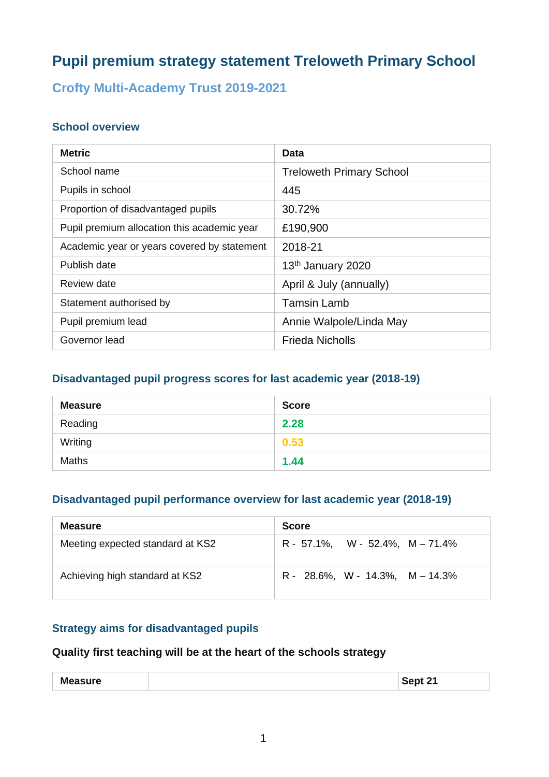# **Pupil premium strategy statement Treloweth Primary School**

## **Crofty Multi-Academy Trust 2019-2021**

## **School overview**

| <b>Metric</b>                               | Data                            |
|---------------------------------------------|---------------------------------|
| School name                                 | <b>Treloweth Primary School</b> |
| Pupils in school                            | 445                             |
| Proportion of disadvantaged pupils          | 30.72%                          |
| Pupil premium allocation this academic year | £190,900                        |
| Academic year or years covered by statement | 2018-21                         |
| Publish date                                | 13 <sup>th</sup> January 2020   |
| Review date                                 | April & July (annually)         |
| Statement authorised by                     | <b>Tamsin Lamb</b>              |
| Pupil premium lead                          | Annie Walpole/Linda May         |
| Governor lead                               | <b>Frieda Nicholls</b>          |

## **Disadvantaged pupil progress scores for last academic year (2018-19)**

| <b>Measure</b> | <b>Score</b> |
|----------------|--------------|
| Reading        | 2.28         |
| Writing        | 0.53         |
| <b>Maths</b>   | 1.44         |

### **Disadvantaged pupil performance overview for last academic year (2018-19)**

| <b>Measure</b>                   | <b>Score</b>                        |
|----------------------------------|-------------------------------------|
| Meeting expected standard at KS2 | $R - 57.1\%$ , W - 52.4%, M - 71.4% |
| Achieving high standard at KS2   | $R - 28.6\%$ , W - 14.3%, M - 14.3% |

## **Strategy aims for disadvantaged pupils**

## **Quality first teaching will be at the heart of the schools strategy**

| <b>Measure</b> | Cont 24   |
|----------------|-----------|
| .              | ∵Sept ∠`ı |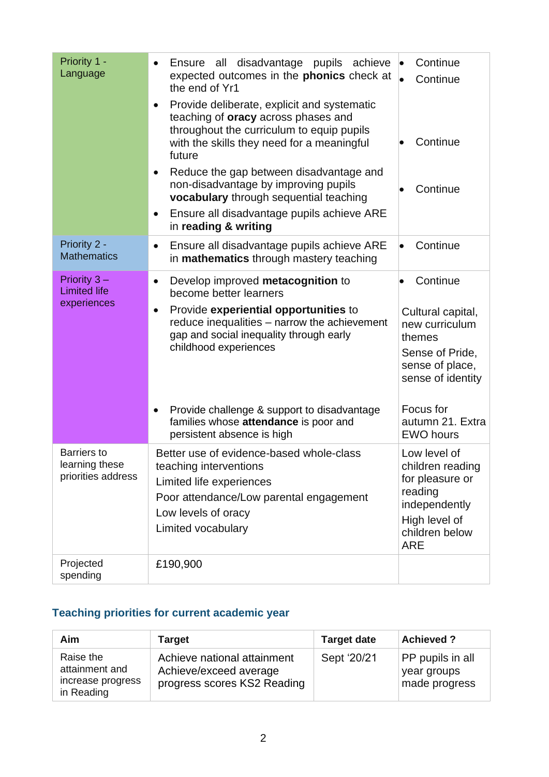| Priority 1 -<br>Language                                   | all disadvantage pupils achieve<br>Ensure<br>$\bullet$<br>expected outcomes in the phonics check at<br>the end of Yr1<br>Provide deliberate, explicit and systematic<br>$\bullet$<br>teaching of <b>oracy</b> across phases and<br>throughout the curriculum to equip pupils<br>with the skills they need for a meaningful<br>future<br>Reduce the gap between disadvantage and<br>$\bullet$<br>non-disadvantage by improving pupils<br>vocabulary through sequential teaching<br>Ensure all disadvantage pupils achieve ARE<br>$\bullet$<br>in reading & writing | Continue<br>Continue<br>Continue<br>Continue                                                                                      |
|------------------------------------------------------------|-------------------------------------------------------------------------------------------------------------------------------------------------------------------------------------------------------------------------------------------------------------------------------------------------------------------------------------------------------------------------------------------------------------------------------------------------------------------------------------------------------------------------------------------------------------------|-----------------------------------------------------------------------------------------------------------------------------------|
| Priority 2 -<br><b>Mathematics</b>                         | Ensure all disadvantage pupils achieve ARE<br>$\bullet$<br>in mathematics through mastery teaching                                                                                                                                                                                                                                                                                                                                                                                                                                                                | Continue                                                                                                                          |
| Priority $3 -$<br><b>Limited life</b><br>experiences       | Develop improved metacognition to<br>$\bullet$<br>become better learners<br>Provide experiential opportunities to<br>$\bullet$<br>reduce inequalities - narrow the achievement<br>gap and social inequality through early<br>childhood experiences<br>Provide challenge & support to disadvantage<br>$\bullet$                                                                                                                                                                                                                                                    | Continue<br>Cultural capital,<br>new curriculum<br>themes<br>Sense of Pride,<br>sense of place,<br>sense of identity<br>Focus for |
|                                                            | families whose attendance is poor and<br>persistent absence is high                                                                                                                                                                                                                                                                                                                                                                                                                                                                                               | autumn 21. Extra<br><b>EWO hours</b>                                                                                              |
| <b>Barriers</b> to<br>learning these<br>priorities address | Better use of evidence-based whole-class<br>teaching interventions<br>Limited life experiences<br>Poor attendance/Low parental engagement<br>Low levels of oracy<br>Limited vocabulary                                                                                                                                                                                                                                                                                                                                                                            | Low level of<br>children reading<br>for pleasure or<br>reading<br>independently<br>High level of<br>children below<br><b>ARE</b>  |
| Projected<br>spending                                      | £190,900                                                                                                                                                                                                                                                                                                                                                                                                                                                                                                                                                          |                                                                                                                                   |

# **Teaching priorities for current academic year**

| Aim                                                            | <b>Target</b>                                                                        | <b>Target date</b> | <b>Achieved?</b>                                 |
|----------------------------------------------------------------|--------------------------------------------------------------------------------------|--------------------|--------------------------------------------------|
| Raise the<br>attainment and<br>increase progress<br>in Reading | Achieve national attainment<br>Achieve/exceed average<br>progress scores KS2 Reading | Sept '20/21        | PP pupils in all<br>year groups<br>made progress |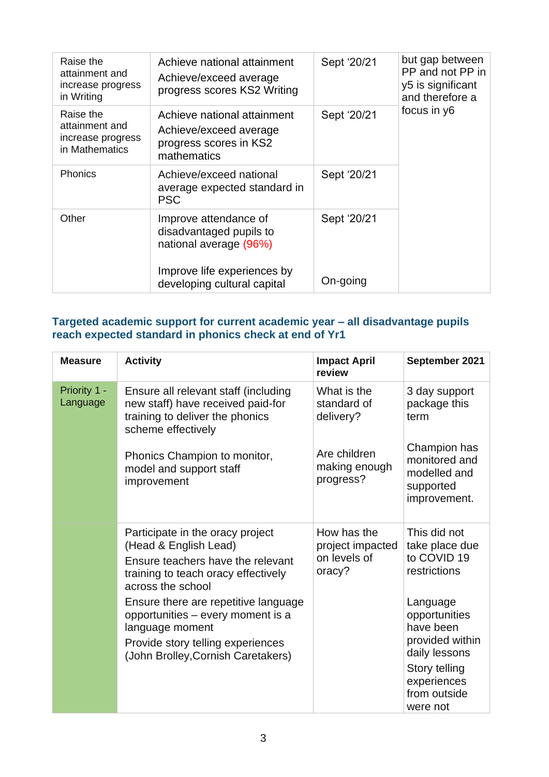| Raise the<br>attainment and<br>increase progress<br>in Writing     | Achieve national attainment<br>Achieve/exceed average<br>progress scores KS2 Writing           | Sept '20/21 | but gap between<br>PP and not PP in<br>y5 is significant<br>and therefore a |
|--------------------------------------------------------------------|------------------------------------------------------------------------------------------------|-------------|-----------------------------------------------------------------------------|
| Raise the<br>attainment and<br>increase progress<br>in Mathematics | Achieve national attainment<br>Achieve/exceed average<br>progress scores in KS2<br>mathematics | Sept '20/21 | focus in y6                                                                 |
| <b>Phonics</b>                                                     | Achieve/exceed national<br>average expected standard in<br><b>PSC</b>                          | Sept '20/21 |                                                                             |
| Other                                                              | Improve attendance of<br>disadvantaged pupils to<br>national average (96%)                     | Sept '20/21 |                                                                             |
|                                                                    | Improve life experiences by<br>developing cultural capital                                     | On-going    |                                                                             |

#### **Targeted academic support for current academic year – all disadvantage pupils reach expected standard in phonics check at end of Yr1**

| <b>Measure</b>           | <b>Activity</b>                                                                                                                                                         | <b>Impact April</b><br>review                             | September 2021                                                                                                                         |
|--------------------------|-------------------------------------------------------------------------------------------------------------------------------------------------------------------------|-----------------------------------------------------------|----------------------------------------------------------------------------------------------------------------------------------------|
| Priority 1 -<br>Language | Ensure all relevant staff (including<br>new staff) have received paid-for<br>training to deliver the phonics<br>scheme effectively                                      | What is the<br>standard of<br>delivery?                   | 3 day support<br>package this<br>term                                                                                                  |
|                          | Phonics Champion to monitor,<br>model and support staff<br>improvement                                                                                                  | Are children<br>making enough<br>progress?                | Champion has<br>monitored and<br>modelled and<br>supported<br>improvement.                                                             |
|                          | Participate in the oracy project<br>(Head & English Lead)<br>Ensure teachers have the relevant<br>training to teach oracy effectively<br>across the school              | How has the<br>project impacted<br>on levels of<br>oracy? | This did not<br>take place due<br>to COVID 19<br>restrictions                                                                          |
|                          | Ensure there are repetitive language<br>opportunities – every moment is a<br>language moment<br>Provide story telling experiences<br>(John Brolley, Cornish Caretakers) |                                                           | Language<br>opportunities<br>have been<br>provided within<br>daily lessons<br>Story telling<br>experiences<br>from outside<br>were not |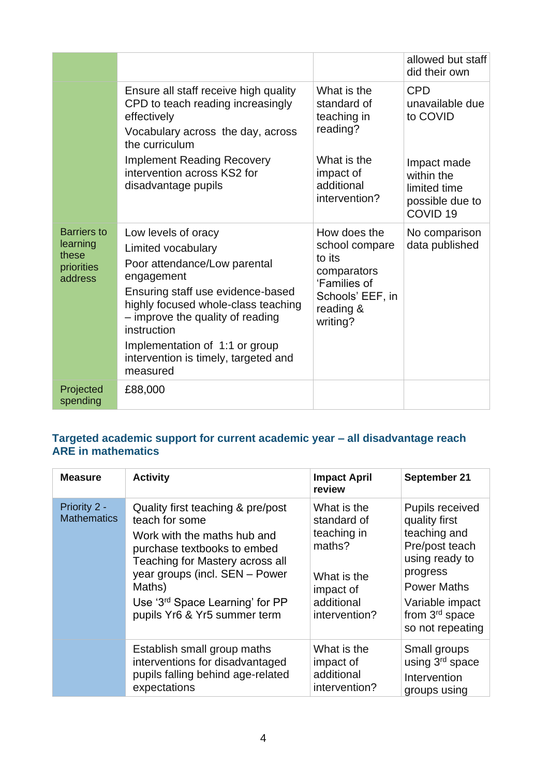|                                                                  |                                                                                                                                                                                                                                                                                                              |                                                                                                                      | allowed but staff<br>did their own                                                                                               |
|------------------------------------------------------------------|--------------------------------------------------------------------------------------------------------------------------------------------------------------------------------------------------------------------------------------------------------------------------------------------------------------|----------------------------------------------------------------------------------------------------------------------|----------------------------------------------------------------------------------------------------------------------------------|
|                                                                  | Ensure all staff receive high quality<br>CPD to teach reading increasingly<br>effectively<br>Vocabulary across the day, across<br>the curriculum<br><b>Implement Reading Recovery</b><br>intervention across KS2 for<br>disadvantage pupils                                                                  | What is the<br>standard of<br>teaching in<br>reading?<br>What is the<br>impact of<br>additional<br>intervention?     | <b>CPD</b><br>unavailable due<br>to COVID<br>Impact made<br>within the<br>limited time<br>possible due to<br>COVID <sub>19</sub> |
| <b>Barriers to</b><br>learning<br>these<br>priorities<br>address | Low levels of oracy<br>Limited vocabulary<br>Poor attendance/Low parental<br>engagement<br>Ensuring staff use evidence-based<br>highly focused whole-class teaching<br>- improve the quality of reading<br>instruction<br>Implementation of 1:1 or group<br>intervention is timely, targeted and<br>measured | How does the<br>school compare<br>to its<br>comparators<br>'Families of<br>Schools' EEF, in<br>reading &<br>writing? | No comparison<br>data published                                                                                                  |
| Projected<br>spending                                            | £88,000                                                                                                                                                                                                                                                                                                      |                                                                                                                      |                                                                                                                                  |

#### **Targeted academic support for current academic year – all disadvantage reach ARE in mathematics**

| <b>Measure</b>                     | <b>Activity</b>                                                                                                                                                                                                                                                                        | <b>Impact April</b><br>review                                                                                  | September 21                                                                                                                                                                      |
|------------------------------------|----------------------------------------------------------------------------------------------------------------------------------------------------------------------------------------------------------------------------------------------------------------------------------------|----------------------------------------------------------------------------------------------------------------|-----------------------------------------------------------------------------------------------------------------------------------------------------------------------------------|
| Priority 2 -<br><b>Mathematics</b> | Quality first teaching & pre/post<br>teach for some<br>Work with the maths hub and<br>purchase textbooks to embed<br><b>Teaching for Mastery across all</b><br>year groups (incl. SEN - Power<br>Maths)<br>Use '3 <sup>rd</sup> Space Learning' for PP<br>pupils Yr6 & Yr5 summer term | What is the<br>standard of<br>teaching in<br>maths?<br>What is the<br>impact of<br>additional<br>intervention? | Pupils received<br>quality first<br>teaching and<br>Pre/post teach<br>using ready to<br>progress<br><b>Power Maths</b><br>Variable impact<br>from $3rd$ space<br>so not repeating |
|                                    | Establish small group maths<br>interventions for disadvantaged<br>pupils falling behind age-related<br>expectations                                                                                                                                                                    | What is the<br>impact of<br>additional<br>intervention?                                                        | Small groups<br>using 3 <sup>rd</sup> space<br>Intervention<br>groups using                                                                                                       |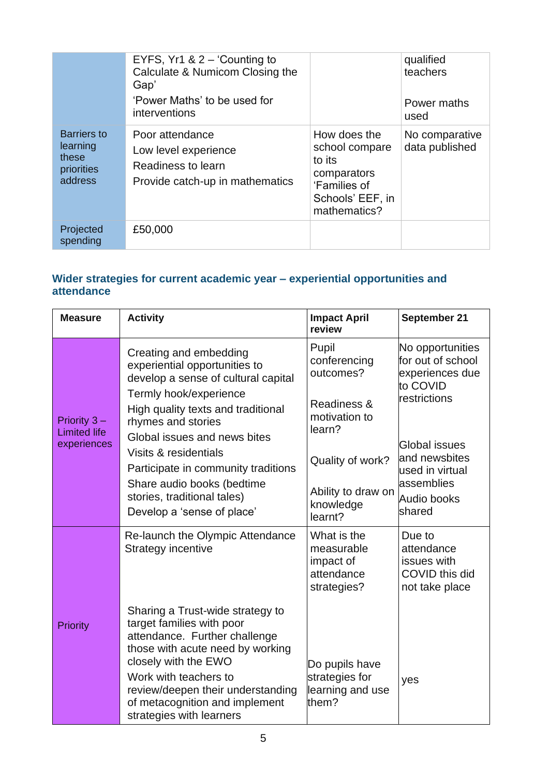|                                                           | EYFS, $Yr1 & 2 - 'Counting to$<br>Calculate & Numicom Closing the<br>Gap'<br>'Power Maths' to be used for<br>interventions |                                                                                                             | qualified<br>teachers<br>Power maths<br>used |
|-----------------------------------------------------------|----------------------------------------------------------------------------------------------------------------------------|-------------------------------------------------------------------------------------------------------------|----------------------------------------------|
| Barriers to<br>learning<br>these<br>priorities<br>address | Poor attendance<br>Low level experience<br>Readiness to learn<br>Provide catch-up in mathematics                           | How does the<br>school compare<br>to its<br>comparators<br>'Families of<br>Schools' EEF, in<br>mathematics? | No comparative<br>data published             |
| Projected<br>spending                                     | £50,000                                                                                                                    |                                                                                                             |                                              |

### **Wider strategies for current academic year – experiential opportunities and attendance**

| <b>Measure</b>                                       | <b>Activity</b>                                                                                                                                                                                                                                                                                                                                                                 | <b>Impact April</b><br>review                                                                                                                  | September 21                                                                                                                                                                                   |
|------------------------------------------------------|---------------------------------------------------------------------------------------------------------------------------------------------------------------------------------------------------------------------------------------------------------------------------------------------------------------------------------------------------------------------------------|------------------------------------------------------------------------------------------------------------------------------------------------|------------------------------------------------------------------------------------------------------------------------------------------------------------------------------------------------|
| Priority $3 -$<br><b>Limited life</b><br>experiences | Creating and embedding<br>experiential opportunities to<br>develop a sense of cultural capital<br>Termly hook/experience<br>High quality texts and traditional<br>rhymes and stories<br>Global issues and news bites<br>Visits & residentials<br>Participate in community traditions<br>Share audio books (bedtime<br>stories, traditional tales)<br>Develop a 'sense of place' | Pupil<br>conferencing<br>outcomes?<br>Readiness &<br>motivation to<br>learn?<br>Quality of work?<br>Ability to draw on<br>knowledge<br>learnt? | No opportunities<br>for out of school<br>experiences due<br>to COVID<br>restrictions<br><b>Global issues</b><br>and newsbites<br>used in virtual<br>assemblies<br><b>Audio books</b><br>shared |
| <b>Priority</b>                                      | Re-launch the Olympic Attendance<br><b>Strategy incentive</b><br>Sharing a Trust-wide strategy to<br>target families with poor<br>attendance. Further challenge<br>those with acute need by working<br>closely with the EWO<br>Work with teachers to<br>review/deepen their understanding<br>of metacognition and implement                                                     | What is the<br>measurable<br>impact of<br>attendance<br>strategies?<br>Do pupils have<br>strategies for<br>learning and use<br>them?           | Due to<br>attendance<br>issues with<br>COVID this did<br>not take place<br>yes                                                                                                                 |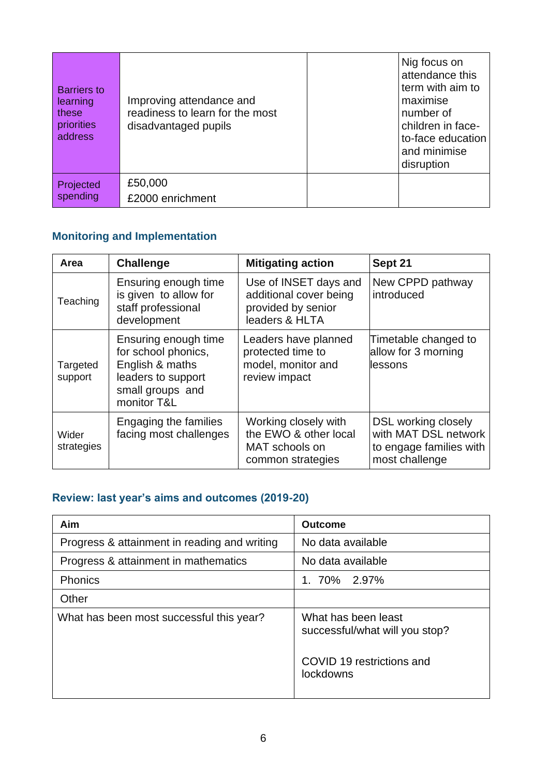| <b>Barriers to</b><br>learning<br>these<br>priorities<br>address | Improving attendance and<br>readiness to learn for the most<br>disadvantaged pupils | Nig focus on<br>attendance this<br>term with aim to<br>maximise<br>number of<br>children in face-<br>to-face education<br>and minimise<br>disruption |
|------------------------------------------------------------------|-------------------------------------------------------------------------------------|------------------------------------------------------------------------------------------------------------------------------------------------------|
| Projected<br>spending                                            | £50,000<br>£2000 enrichment                                                         |                                                                                                                                                      |

# **Monitoring and Implementation**

| Area                | <b>Challenge</b>                                                                                                        | <b>Mitigating action</b>                                                                | Sept 21                                                                                         |
|---------------------|-------------------------------------------------------------------------------------------------------------------------|-----------------------------------------------------------------------------------------|-------------------------------------------------------------------------------------------------|
| Teaching            | Ensuring enough time<br>is given to allow for<br>staff professional<br>development                                      | Use of INSET days and<br>additional cover being<br>provided by senior<br>leaders & HLTA | New CPPD pathway<br>introduced                                                                  |
| Targeted<br>support | Ensuring enough time<br>for school phonics,<br>English & maths<br>leaders to support<br>small groups and<br>monitor T&L | Leaders have planned<br>protected time to<br>model, monitor and<br>review impact        | Timetable changed to<br>allow for 3 morning<br>lessons                                          |
| Wider<br>strategies | Engaging the families<br>facing most challenges                                                                         | Working closely with<br>the EWO & other local<br>MAT schools on<br>common strategies    | <b>DSL working closely</b><br>with MAT DSL network<br>to engage families with<br>most challenge |

# **Review: last year's aims and outcomes (2019-20)**

| Aim                                          | <b>Outcome</b>                                        |  |
|----------------------------------------------|-------------------------------------------------------|--|
| Progress & attainment in reading and writing | No data available                                     |  |
| Progress & attainment in mathematics         | No data available                                     |  |
| Phonics                                      | 1. 70% 2.97%                                          |  |
| Other                                        |                                                       |  |
| What has been most successful this year?     | What has been least<br>successful/what will you stop? |  |
|                                              | COVID 19 restrictions and<br>lockdowns                |  |